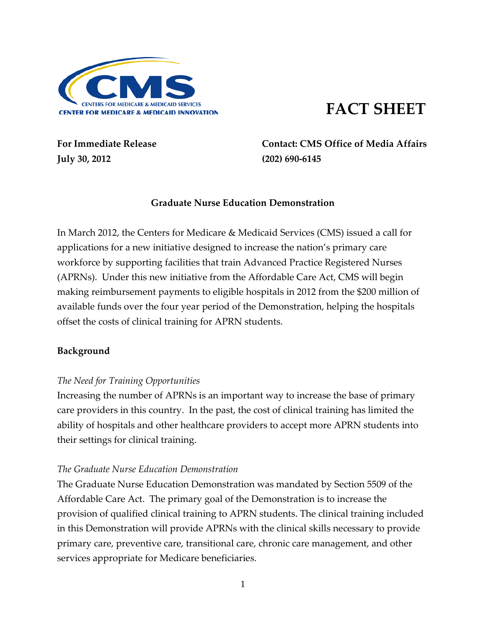

# **FACT SHEET**

**July 30, 2012 (202) 690-6145**

**For Immediate Release Contact: CMS Office of Media Affairs** 

## **Graduate Nurse Education Demonstration**

In March 2012, the Centers for Medicare & Medicaid Services (CMS) issued a call for applications for a new initiative designed to increase the nation's primary care workforce by supporting facilities that train Advanced Practice Registered Nurses (APRNs). Under this new initiative from the Affordable Care Act, CMS will begin making reimbursement payments to eligible hospitals in 2012 from the \$200 million of available funds over the four year period of the Demonstration, helping the hospitals offset the costs of clinical training for APRN students.

## **Background**

## *The Need for Training Opportunities*

Increasing the number of APRNs is an important way to increase the base of primary care providers in this country. In the past, the cost of clinical training has limited the ability of hospitals and other healthcare providers to accept more APRN students into their settings for clinical training.

#### *The Graduate Nurse Education Demonstration*

The Graduate Nurse Education Demonstration was mandated by Section 5509 of the Affordable Care Act. The primary goal of the Demonstration is to increase the provision of qualified clinical training to APRN students. The clinical training included in this Demonstration will provide APRNs with the clinical skills necessary to provide primary care, preventive care, transitional care, chronic care management, and other services appropriate for Medicare beneficiaries.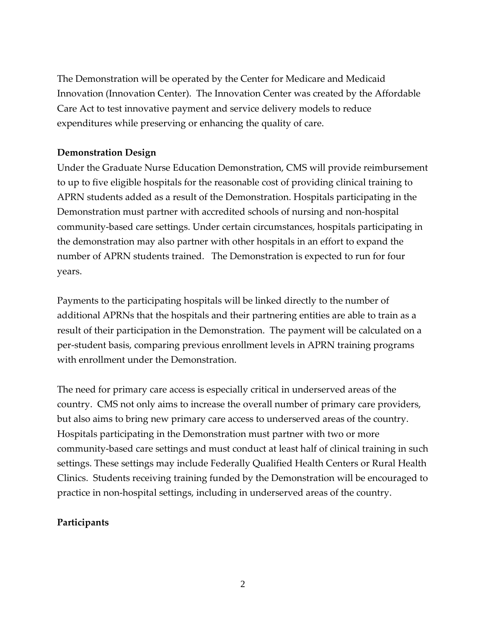The Demonstration will be operated by the Center for Medicare and Medicaid Innovation (Innovation Center). The Innovation Center was created by the Affordable Care Act to test innovative payment and service delivery models to reduce expenditures while preserving or enhancing the quality of care.

# **Demonstration Design**

Under the Graduate Nurse Education Demonstration, CMS will provide reimbursement to up to five eligible hospitals for the reasonable cost of providing clinical training to APRN students added as a result of the Demonstration. Hospitals participating in the Demonstration must partner with accredited schools of nursing and non-hospital community-based care settings. Under certain circumstances, hospitals participating in the demonstration may also partner with other hospitals in an effort to expand the number of APRN students trained. The Demonstration is expected to run for four years.

Payments to the participating hospitals will be linked directly to the number of additional APRNs that the hospitals and their partnering entities are able to train as a result of their participation in the Demonstration. The payment will be calculated on a per-student basis, comparing previous enrollment levels in APRN training programs with enrollment under the Demonstration.

The need for primary care access is especially critical in underserved areas of the country. CMS not only aims to increase the overall number of primary care providers, but also aims to bring new primary care access to underserved areas of the country. Hospitals participating in the Demonstration must partner with two or more community-based care settings and must conduct at least half of clinical training in such settings. These settings may include Federally Qualified Health Centers or Rural Health Clinics. Students receiving training funded by the Demonstration will be encouraged to practice in non-hospital settings, including in underserved areas of the country.

# **Participants**